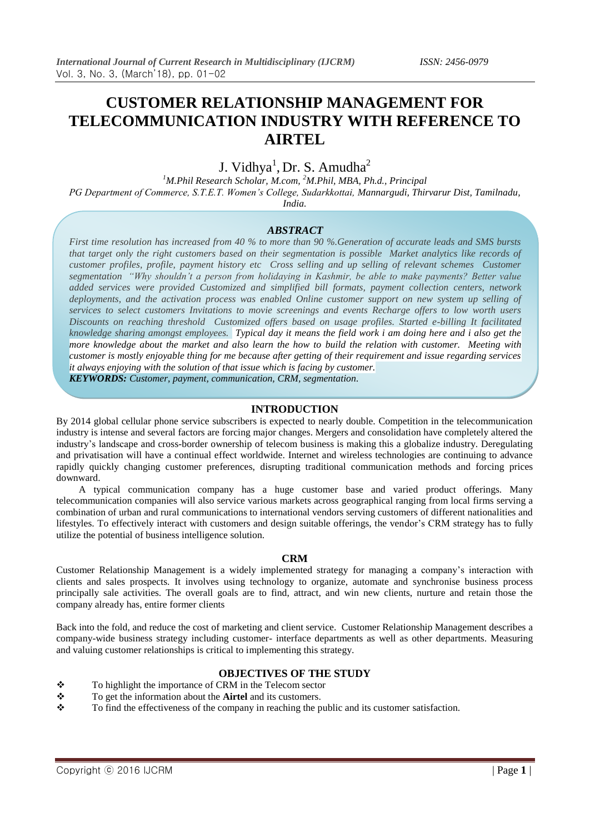# **CUSTOMER RELATIONSHIP MANAGEMENT FOR TELECOMMUNICATION INDUSTRY WITH REFERENCE TO AIRTEL**

## J. Vidhya<sup>1</sup>, Dr. S. Amudha<sup>2</sup>

*<sup>1</sup>M.Phil Research Scholar, M.com, <sup>2</sup>M.Phil, MBA, Ph.d., Principal PG Department of Commerce, S.T.E.T. Women's College, Sudarkkottai, Mannargudi, Thirvarur Dist, Tamilnadu, India.*

## *ABSTRACT*

*First time resolution has increased from 40 % to more than 90 %.Generation of accurate leads and SMS bursts that target only the right customers based on their segmentation is possible Market analytics like records of customer profiles, profile, payment history etc Cross selling and up selling of relevant schemes Customer segmentation ["](https://image.slidesharecdn.com/customerrelationshipmanagementairtel-12686329024056-phpapp01/95/customer-relationship-management-airtel-34-728.jpg?cb=1268617019)Why shouldn't a person from holidaying in Kashmir, be able to make payments? Better value added services were provided Customized and simplified bill formats, payment collection centers, network deployments, and the activation process was enabled Online customer support on new system up selling of services to select customers Invitations to movie screenings and events Recharge offers to low worth users Discounts on reaching threshold Customized offers based on usage profiles. Started e-billing It facilitated knowledge sharing amongst employees. Typical day it means the field work i am doing here and i also get the more knowledge about the market and also learn the how to build the relation with customer. Meeting with customer is mostly enjoyable thing for me because after getting of their requirement and issue regarding services it always enjoying with the solution of that issue which is facing by customer.*

*KEYWORDS: Customer, payment, communication, CRM, segmentation.*

### **INTRODUCTION**

By 2014 global cellular phone service subscribers is expected to nearly double. Competition in the telecommunication industry is intense and several factors are forcing major changes. Mergers and consolidation have completely altered the industry's landscape and cross-border ownership of telecom business is making this a globalize industry. Deregulating and privatisation will have a continual effect worldwide. Internet and wireless technologies are continuing to advance rapidly quickly changing customer preferences, disrupting traditional communication methods and forcing prices downward.

 A typical communication company has a huge customer base and varied product offerings. Many telecommunication companies will also service various markets across geographical ranging from local firms serving a combination of urban and rural communications to international vendors serving customers of different nationalities and lifestyles. To effectively interact with customers and design suitable offerings, the vendor's CRM strategy has to fully utilize the potential of business intelligence solution.

### **CRM**

Customer Relationship Management is a widely implemented strategy for managing a company's interaction with clients and sales prospects. It involves using technology to organize, automate and synchronise business process principally sale activities. The overall goals are to find, attract, and win new clients, nurture and retain those the company already has, entire former clients

Back into the fold, and reduce the cost of marketing and client service. Customer Relationship Management describes a company-wide business strategy including customer- interface departments as well as other departments. Measuring and valuing customer relationships is critical to implementing this strategy.

### **OBJECTIVES OF THE STUDY**

- \* To highlight the importance of CRM in the Telecom sector
- To get the information about the **Airtel** and its customers.
- $\bullet$  To find the effectiveness of the company in reaching the public and its customer satisfaction.